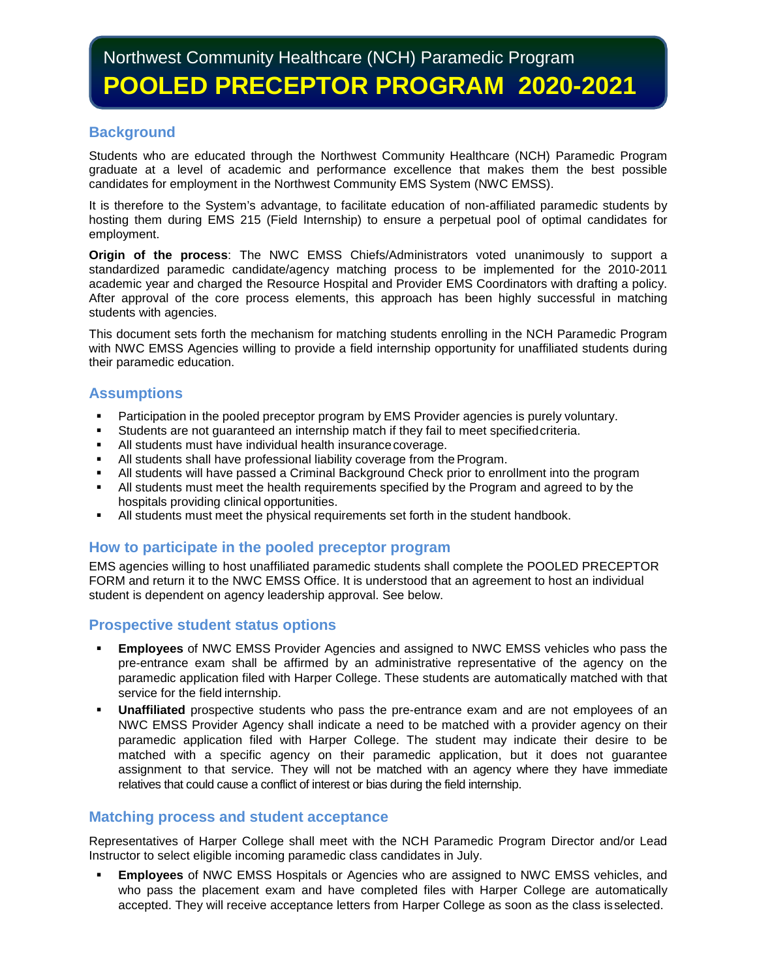# **Background**

Students who are educated through the Northwest Community Healthcare (NCH) Paramedic Program graduate at a level of academic and performance excellence that makes them the best possible candidates for employment in the Northwest Community EMS System (NWC EMSS).

It is therefore to the System's advantage, to facilitate education of non-affiliated paramedic students by hosting them during EMS 215 (Field Internship) to ensure a perpetual pool of optimal candidates for employment.

**Origin of the process**: The NWC EMSS Chiefs/Administrators voted unanimously to support a standardized paramedic candidate/agency matching process to be implemented for the 2010-2011 academic year and charged the Resource Hospital and Provider EMS Coordinators with drafting a policy. After approval of the core process elements, this approach has been highly successful in matching students with agencies.

This document sets forth the mechanism for matching students enrolling in the NCH Paramedic Program with NWC EMSS Agencies willing to provide a field internship opportunity for unaffiliated students during their paramedic education.

## **Assumptions**

- **Participation in the pooled preceptor program by EMS Provider agencies is purely voluntary.**
- Students are not guaranteed an internship match if they fail to meet specifiedcriteria.
- All students must have individual health insurancecoverage.
- All students shall have professional liability coverage from theProgram.
- All students will have passed a Criminal Background Check prior to enrollment into the program
- All students must meet the health requirements specified by the Program and agreed to by the hospitals providing clinical opportunities.
- All students must meet the physical requirements set forth in the student handbook.

## **How to participate in the pooled preceptor program**

EMS agencies willing to host unaffiliated paramedic students shall complete the POOLED PRECEPTOR FORM and return it to the NWC EMSS Office. It is understood that an agreement to host an individual student is dependent on agency leadership approval. See below.

## **Prospective student status options**

- **Employees** of NWC EMSS Provider Agencies and assigned to NWC EMSS vehicles who pass the pre-entrance exam shall be affirmed by an administrative representative of the agency on the paramedic application filed with Harper College. These students are automatically matched with that service for the field internship.
- **Unaffiliated** prospective students who pass the pre-entrance exam and are not employees of an NWC EMSS Provider Agency shall indicate a need to be matched with a provider agency on their paramedic application filed with Harper College. The student may indicate their desire to be matched with a specific agency on their paramedic application, but it does not guarantee assignment to that service. They will not be matched with an agency where they have immediate relatives that could cause a conflict of interest or bias during the field internship.

### **Matching process and student acceptance**

Representatives of Harper College shall meet with the NCH Paramedic Program Director and/or Lead Instructor to select eligible incoming paramedic class candidates in July.

 **Employees** of NWC EMSS Hospitals or Agencies who are assigned to NWC EMSS vehicles, and who pass the placement exam and have completed files with Harper College are automatically accepted. They will receive acceptance letters from Harper College as soon as the class isselected.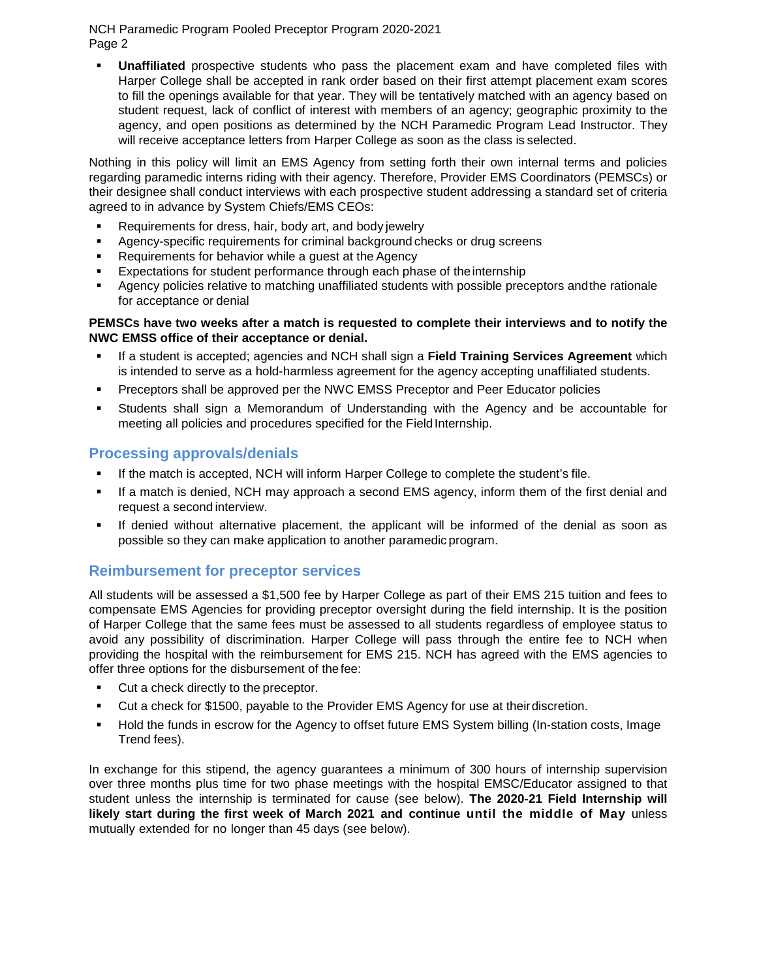NCH Paramedic Program Pooled Preceptor Program 2020-2021 Page 2

 **Unaffiliated** prospective students who pass the placement exam and have completed files with Harper College shall be accepted in rank order based on their first attempt placement exam scores to fill the openings available for that year. They will be tentatively matched with an agency based on student request, lack of conflict of interest with members of an agency; geographic proximity to the agency, and open positions as determined by the NCH Paramedic Program Lead Instructor. They will receive acceptance letters from Harper College as soon as the class is selected.

Nothing in this policy will limit an EMS Agency from setting forth their own internal terms and policies regarding paramedic interns riding with their agency. Therefore, Provider EMS Coordinators (PEMSCs) or their designee shall conduct interviews with each prospective student addressing a standard set of criteria agreed to in advance by System Chiefs/EMS CEOs:

- **Requirements for dress, hair, body art, and body jewelry**
- Agency-specific requirements for criminal background checks or drug screens
- **Requirements for behavior while a guest at the Agency**
- Expectations for student performance through each phase of theinternship
- **Agency policies relative to matching unaffiliated students with possible preceptors and the rationale** for acceptance or denial

### **PEMSCs have two weeks after a match is requested to complete their interviews and to notify the NWC EMSS office of their acceptance or denial.**

- If a student is accepted; agencies and NCH shall sign a **Field Training Services Agreement** which is intended to serve as a hold-harmless agreement for the agency accepting unaffiliated students.
- Preceptors shall be approved per the NWC EMSS Preceptor and Peer Educator policies
- Students shall sign a Memorandum of Understanding with the Agency and be accountable for meeting all policies and procedures specified for the Field Internship.

# **Processing approvals/denials**

- If the match is accepted, NCH will inform Harper College to complete the student's file.
- If a match is denied, NCH may approach a second EMS agency, inform them of the first denial and request a second interview.
- If denied without alternative placement, the applicant will be informed of the denial as soon as possible so they can make application to another paramedic program.

## **Reimbursement for preceptor services**

All students will be assessed a \$1,500 fee by Harper College as part of their EMS 215 tuition and fees to compensate EMS Agencies for providing preceptor oversight during the field internship. It is the position of Harper College that the same fees must be assessed to all students regardless of employee status to avoid any possibility of discrimination. Harper College will pass through the entire fee to NCH when providing the hospital with the reimbursement for EMS 215. NCH has agreed with the EMS agencies to offer three options for the disbursement of thefee:

- **Cut a check directly to the preceptor.**
- Cut a check for \$1500, payable to the Provider EMS Agency for use at theirdiscretion.
- Hold the funds in escrow for the Agency to offset future EMS System billing (In-station costs, Image Trend fees).

In exchange for this stipend, the agency guarantees a minimum of 300 hours of internship supervision over three months plus time for two phase meetings with the hospital EMSC/Educator assigned to that student unless the internship is terminated for cause (see below). **The 2020-21 Field Internship will likely start during the first week of March 2021 and continue until the middle of May** unless mutually extended for no longer than 45 days (see below).